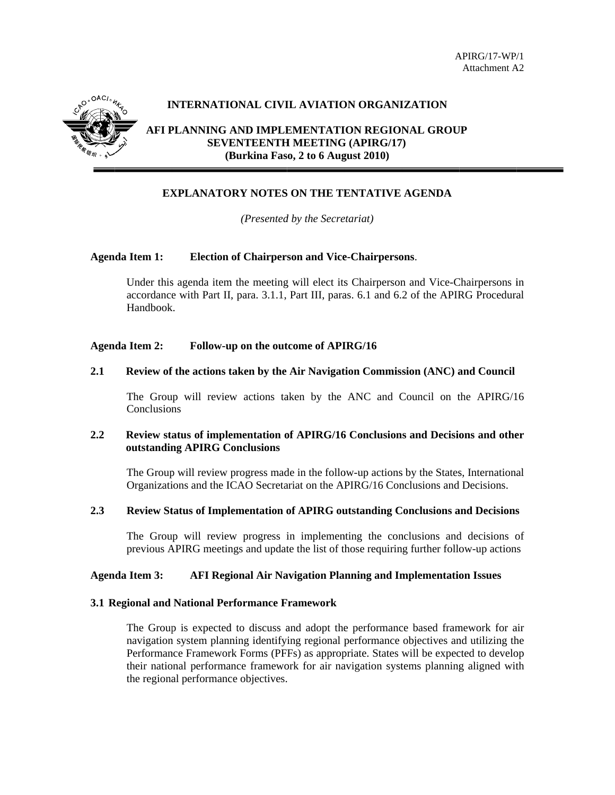

## **INTERNATIONAL CIVIL AVIATION ORGANIZATION**

AFI PLANNING AND IMPLEMENTATION REGIONAL GROUP **SEVENTEENTH MEETING (APIRG/17)** (Burkina Faso, 2 to 6 August 2010)

# **EXPLANATORY NOTES ON THE TENTATIVE AGENDA**

(*Presented by the Secretariat*)

#### **Agenda Item 1: Election of Chairperson and Vice-Chairpersons.**

Under this agenda item the meeting will elect its Chairperson and Vice-Chairpersons in accordance with Part II, para. 3.1.1, Part III, paras. 6.1 and 6.2 of the APIRG Procedural Handbook.

#### **Agenda Item 2:** Follow-up on the outcome of APIRG/16

#### $2.1$ Review of the actions taken by the Air Navigation Commission (ANC) and Council

The Group will review actions taken by the ANC and Council on the APIRG/16 Conclusions

#### $2.2^{\circ}$ Review status of implementation of APIRG/16 Conclusions and Decisions and other outstanding APIRG Conclusions

The Group will review progress made in the follow-up actions by the States, International Organizations and the ICAO Secretariat on the APIRG/16 Conclusions and Decisions.

#### $2.3$ **Review Status of Implementation of APIRG outstanding Conclusions and Decisions**

The Group will review progress in implementing the conclusions and decisions of previous APIRG meetings and update the list of those requiring further follow-up actions

#### **Agenda Item 3: AFI Regional Air Navigation Planning and Implementation Issues**

#### 3.1 Regional and National Performance Framework

The Group is expected to discuss and adopt the performance based framework for air navigation system planning identifying regional performance objectives and utilizing the Performance Framework Forms (PFFs) as appropriate. States will be expected to develop their national performance framework for air navigation systems planning aligned with the regional performance objectives.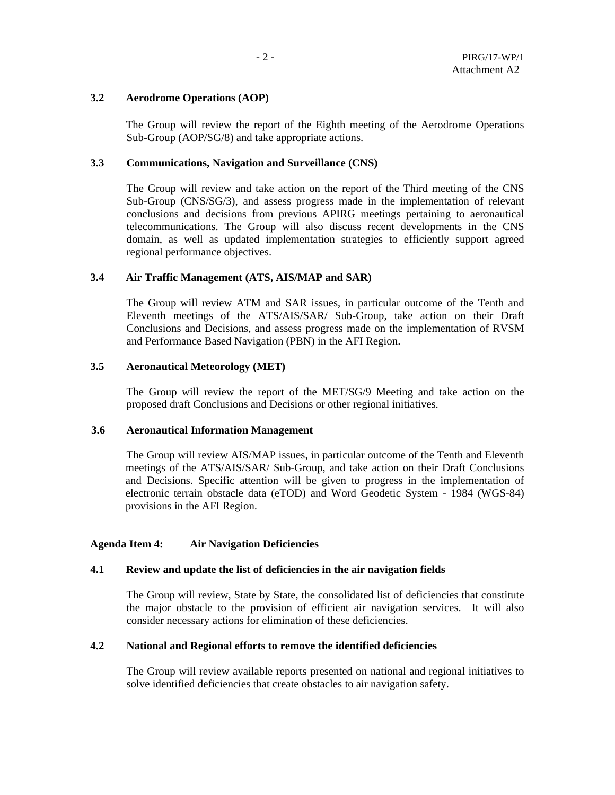#### **3.2 Aerodrome Operations (AOP)**

The Group will review the report of the Eighth meeting of the Aerodrome Operations Sub-Group (AOP/SG/8) and take appropriate actions.

#### **3.3 Communications, Navigation and Surveillance (CNS)**

The Group will review and take action on the report of the Third meeting of the CNS Sub-Group (CNS/SG/3), and assess progress made in the implementation of relevant conclusions and decisions from previous APIRG meetings pertaining to aeronautical telecommunications. The Group will also discuss recent developments in the CNS domain, as well as updated implementation strategies to efficiently support agreed regional performance objectives.

### **3.4 Air Traffic Management (ATS, AIS/MAP and SAR)**

The Group will review ATM and SAR issues, in particular outcome of the Tenth and Eleventh meetings of the ATS/AIS/SAR/ Sub-Group, take action on their Draft Conclusions and Decisions, and assess progress made on the implementation of RVSM and Performance Based Navigation (PBN) in the AFI Region.

### **3.5 Aeronautical Meteorology (MET)**

The Group will review the report of the MET/SG/9 Meeting and take action on the proposed draft Conclusions and Decisions or other regional initiatives.

#### **3.6 Aeronautical Information Management**

The Group will review AIS/MAP issues, in particular outcome of the Tenth and Eleventh meetings of the ATS/AIS/SAR/ Sub-Group, and take action on their Draft Conclusions and Decisions. Specific attention will be given to progress in the implementation of electronic terrain obstacle data (eTOD) and Word Geodetic System - 1984 (WGS-84) provisions in the AFI Region.

### **Agenda Item 4: Air Navigation Deficiencies**

#### **4.1 Review and update the list of deficiencies in the air navigation fields**

The Group will review, State by State, the consolidated list of deficiencies that constitute the major obstacle to the provision of efficient air navigation services. It will also consider necessary actions for elimination of these deficiencies.

#### **4.2 National and Regional efforts to remove the identified deficiencies**

The Group will review available reports presented on national and regional initiatives to solve identified deficiencies that create obstacles to air navigation safety.